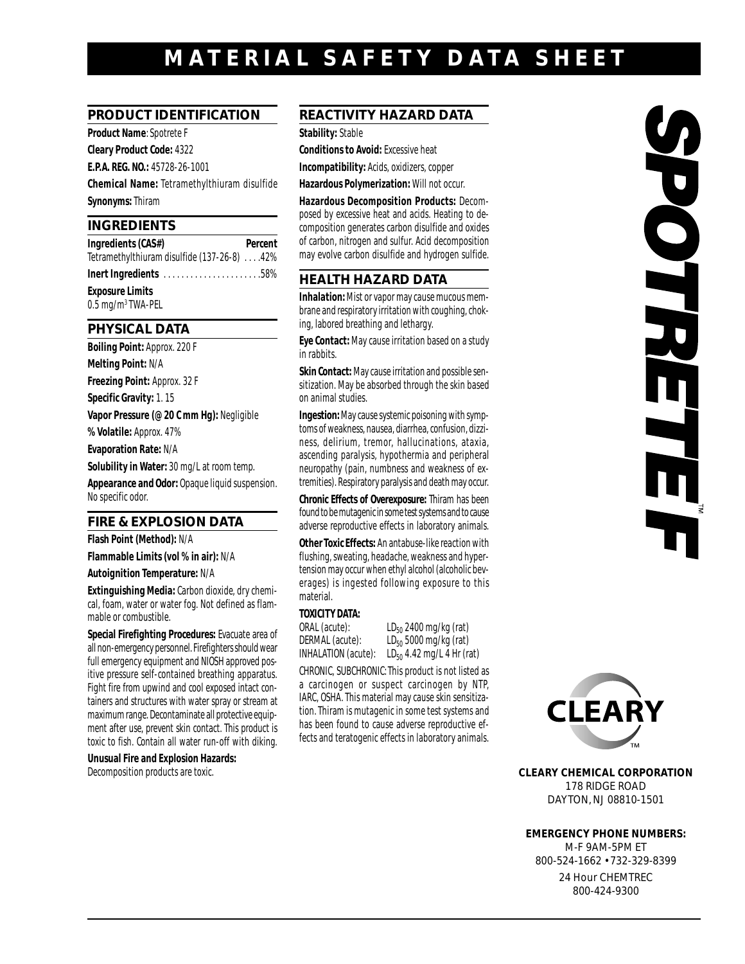# **MATERIAL SAFET Y DATA SHEET**

## **PRODUCT IDENTIFICATION**

**Product Name**: Spotrete F

**Cleary Product Code:** 4322

**E.P.A. REG. NO.:** 45728-26-1001

**Chemical Name:** Tetramethylthiuram disulfide **Synonyms:**Thiram

#### **INGREDIENTS**

**Ingredients (CAS#)** Percent Tetramethylthiuram disulfide (137-26-8) . . . .42%

**Inert Ingredients** . . . . . . . . . . . . . . . . . . . . . .58% **Exposure Limits**

0.5 mg/m3 TWA-PEL

#### **PHYSICAL DATA**

**Boiling Point:** Approx. 220 F **Melting Point:** N/A **Freezing Point:** Approx. 32 F **Specific Gravity:**1. 15 **Vapor Pressure (@ 20 C mm Hg):** Negligible **% Volatile:** Approx. 47% **Evaporation Rate:** N/A **Solubility in Water:**30 mg/L at room temp. **Appearance and Odor:** Opaque liquid suspension. No specific odor.

## **FIRE & EXPLOSION DATA**

**Flash Point (Method):** N/A

**Flammable Limits (vol % in air):** N/A

**Autoignition Temperature:** N/A

**Extinguishing Media:** Carbon dioxide, dry chemical, foam, water or water fog. Not defined as flammable or combustible.

**Special Firefighting Procedures:** Evacuate area of all non-emergency personnel. Firefighters should wear full emergency equipment and NIOSH approved positive pressure self-contained breathing apparatus. Fight fire from upwind and cool exposed intact containers and structures with water spray or stream at maximum range. Decontaminate all protective equipment after use, prevent skin contact. This product is toxic to fish. Contain all water run-off with diking.

**Unusual Fire and Explosion Hazards:** Decomposition products are toxic.

## **REACTIVITY HAZARD DATA**

**Stability:** Stable

**Conditions to Avoid:** Excessive heat

**Incompatibility:** Acids, oxidizers, copper

**Hazardous Polymerization:** Will not occur.

**Hazardous Decomposition Products:** Decomposed by excessive heat and acids. Heating to decomposition generates carbon disulfide and oxides of carbon, nitrogen and sulfur. Acid decomposition may evolve carbon disulfide and hydrogen sulfide.

## **HEALTH HAZARD DATA**

**Inhalation:**Mist or vapor may cause mucous membrane and respiratory irritation with coughing, choking, labored breathing and lethargy.

**Eye Contact:** May cause irritation based on a study in rabbits.

**Skin Contact:**May cause irritation and possible sensitization. May be absorbed through the skin based on animal studies.

**Ingestion:**May cause systemic poisoning with symptoms of weakness, nausea, diarrhea, confusion, dizziness, delirium, tremor, hallucinations, ataxia, ascending paralysis, hypothermia and peripheral neuropathy (pain, numbness and weakness of extremities). Respiratory paralysis and death may occur.

**Chronic Effects of Overexposure:** Thiram has been found to be mutagenic in some test systems and to cause adverse reproductive effects in laboratory animals.

**Other Toxic Effects:** An antabuse-like reaction with flushing, sweating, headache, weakness and hypertension may occur when ethyl alcohol (alcoholic beverages) is ingested following exposure to this material.

#### **TOXICITY DATA:**

ORAL (acute):  $LD_{50}$  2400 mg/kg (rat)<br>DERMAL (acute):  $LD_{50}$  5000 mg/kg (rat) DERMAL (acute):  $LD_{50}$  5000 mg/kg (rat)<br>INHALATION (acute):  $LD_{50}$  4.42 mg/L 4 Hr (ra  $LD_{50}$  4.42 mg/L 4 Hr (rat)

CHRONIC, SUBCHRONIC: This product is not listed as a carcinogen or suspect carcinogen by NTP, IARC, OSHA. This material may cause skin sensitization. Thiram is mutagenic in some test systems and has been found to cause adverse reproductive effects and teratogenic effects in laboratory animals.



**CLEARY CHEMICAL CORPORATION** 178 RIDGE ROAD DAYTON, NJ 08810-1501

**EMERGENCY PHONE NUMBERS:** M-F 9AM-5PM ET

800-524-1662 • 732-329-8399 24 Hour CHEMTREC

800-424-9300